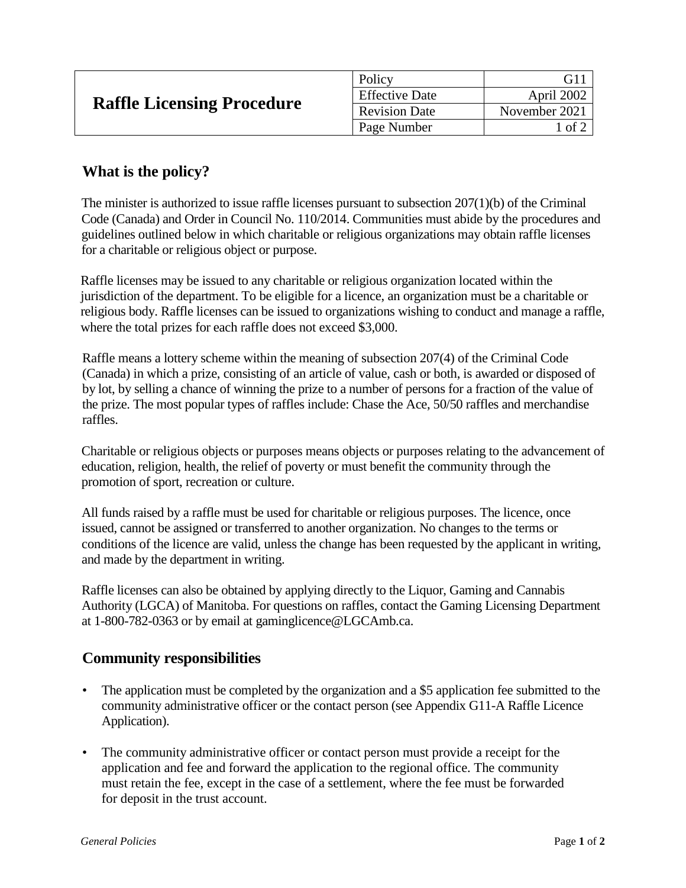| <b>Raffle Licensing Procedure</b> | Policy                | G1                 |
|-----------------------------------|-----------------------|--------------------|
|                                   | <b>Effective Date</b> | April 2002         |
|                                   | <b>Revision Date</b>  | November 2021      |
|                                   | Page Number           | $\pm$ of $\hat{ }$ |
|                                   |                       |                    |

## **What is the policy?**

The minister is authorized to issue raffle licenses pursuant to subsection 207(1)(b) of the Criminal Code (Canada) and Order in Council No. 110/2014. Communities must abide by the procedures and guidelines outlined below in which charitable or religious organizations may obtain raffle licenses for a charitable or religious object or purpose.

Raffle licenses may be issued to any charitable or religious organization located within the jurisdiction of the department. To be eligible for a licence, an organization must be a charitable or religious body. Raffle licenses can be issued to organizations wishing to conduct and manage a raffle, where the total prizes for each raffle does not exceed \$3,000.

Raffle means a lottery scheme within the meaning of subsection 207(4) of the Criminal Code (Canada) in which a prize, consisting of an article of value, cash or both, is awarded or disposed of by lot, by selling a chance of winning the prize to a number of persons for a fraction of the value of the prize. The most popular types of raffles include: Chase the Ace, 50/50 raffles and merchandise raffles.

Charitable or religious objects or purposes means objects or purposes relating to the advancement of education, religion, health, the relief of poverty or must benefit the community through the promotion of sport, recreation or culture.

All funds raised by a raffle must be used for charitable or religious purposes. The licence, once issued, cannot be assigned or transferred to another organization. No changes to the terms or conditions of the licence are valid, unless the change has been requested by the applicant in writing, and made by the department in writing.

Raffle licenses can also be obtained by applying directly to the Liquor, Gaming and Cannabis Authority (LGCA) of Manitoba. For questions on raffles, contact the Gaming Licensing Department at 1-800-782-0363 or by email at gaminglicence@LGCAmb.ca.

## **Community responsibilities**

- The application must be completed by the organization and a \$5 application fee submitted to the community administrative officer or the contact person (see Appendix G11-A Raffle Licence Application).
- The community administrative officer or contact person must provide a receipt for the application and fee and forward the application to the regional office. The community must retain the fee, except in the case of a settlement, where the fee must be forwarded for deposit in the trust account.